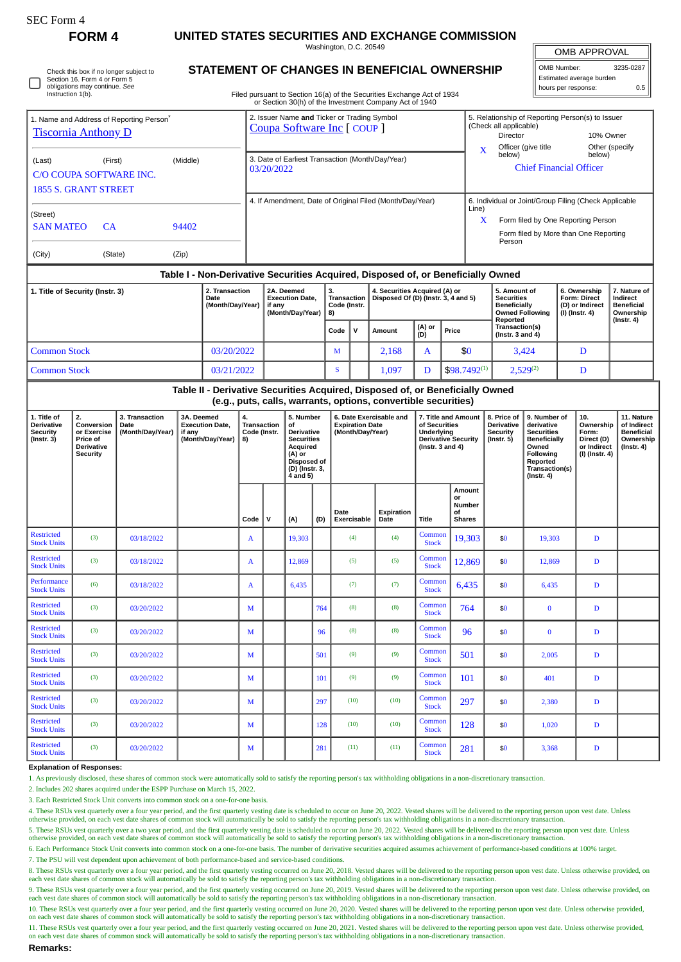| SEC Form 4<br>FORM 4                                                                    |                                                                                                         |                                            | UNITED STATES SECURITIES AND EXCHANGE COMMISSION                                                                                                                                        |                                                          |                                                |                                                                            |                                                                                                                              |                                         |                                            |                               |                                                                                                                                                 |                                                                                                           |                                                                                                                                                              |                                                                                                |                                                                                                                                              |                                                                                                                                         |              |                                                                                    |                                                                           |  |
|-----------------------------------------------------------------------------------------|---------------------------------------------------------------------------------------------------------|--------------------------------------------|-----------------------------------------------------------------------------------------------------------------------------------------------------------------------------------------|----------------------------------------------------------|------------------------------------------------|----------------------------------------------------------------------------|------------------------------------------------------------------------------------------------------------------------------|-----------------------------------------|--------------------------------------------|-------------------------------|-------------------------------------------------------------------------------------------------------------------------------------------------|-----------------------------------------------------------------------------------------------------------|--------------------------------------------------------------------------------------------------------------------------------------------------------------|------------------------------------------------------------------------------------------------|----------------------------------------------------------------------------------------------------------------------------------------------|-----------------------------------------------------------------------------------------------------------------------------------------|--------------|------------------------------------------------------------------------------------|---------------------------------------------------------------------------|--|
|                                                                                         |                                                                                                         |                                            | Washington, D.C. 20549                                                                                                                                                                  |                                                          |                                                |                                                                            |                                                                                                                              |                                         |                                            |                               |                                                                                                                                                 |                                                                                                           |                                                                                                                                                              |                                                                                                |                                                                                                                                              |                                                                                                                                         | OMB APPROVAL |                                                                                    |                                                                           |  |
| Instruction 1(b).                                                                       | Check this box if no longer subject to<br>Section 16. Form 4 or Form 5<br>obligations may continue. See |                                            | <b>STATEMENT OF CHANGES IN BENEFICIAL OWNERSHIP</b><br>Filed pursuant to Section 16(a) of the Securities Exchange Act of 1934<br>or Section 30(h) of the Investment Company Act of 1940 |                                                          |                                                |                                                                            |                                                                                                                              |                                         |                                            |                               |                                                                                                                                                 |                                                                                                           |                                                                                                                                                              |                                                                                                |                                                                                                                                              |                                                                                                                                         |              | OMB Number:<br>3235-0287<br>Estimated average burden<br>hours per response:<br>0.5 |                                                                           |  |
| 1. Name and Address of Reporting Person <sup>7</sup><br><b>Tiscornia Anthony D</b>      |                                                                                                         |                                            |                                                                                                                                                                                         |                                                          |                                                | 2. Issuer Name and Ticker or Trading Symbol<br>Coupa Software Inc [ COUP ] |                                                                                                                              |                                         |                                            |                               |                                                                                                                                                 |                                                                                                           |                                                                                                                                                              |                                                                                                | 5. Relationship of Reporting Person(s) to Issuer<br>(Check all applicable)<br>Director<br>10% Owner<br>Officer (give title<br>Other (specify |                                                                                                                                         |              |                                                                                    |                                                                           |  |
| (Last)<br>(First)<br>(Middle)<br>C/O COUPA SOFTWARE INC.<br><b>1855 S. GRANT STREET</b> |                                                                                                         |                                            |                                                                                                                                                                                         |                                                          |                                                | 3. Date of Earliest Transaction (Month/Day/Year)<br>03/20/2022             |                                                                                                                              |                                         |                                            |                               |                                                                                                                                                 |                                                                                                           |                                                                                                                                                              |                                                                                                | X<br>below)<br>below)<br><b>Chief Financial Officer</b>                                                                                      |                                                                                                                                         |              |                                                                                    |                                                                           |  |
| (Street)<br><b>SAN MATEO</b>                                                            | 94402                                                                                                   |                                            |                                                                                                                                                                                         | 4. If Amendment, Date of Original Filed (Month/Day/Year) |                                                |                                                                            |                                                                                                                              |                                         |                                            |                               |                                                                                                                                                 |                                                                                                           | 6. Individual or Joint/Group Filing (Check Applicable<br>Line)<br>X<br>Form filed by One Reporting Person<br>Form filed by More than One Reporting<br>Person |                                                                                                |                                                                                                                                              |                                                                                                                                         |              |                                                                                    |                                                                           |  |
| (City)                                                                                  | (State)                                                                                                 |                                            |                                                                                                                                                                                         |                                                          |                                                |                                                                            |                                                                                                                              |                                         |                                            |                               |                                                                                                                                                 |                                                                                                           |                                                                                                                                                              |                                                                                                |                                                                                                                                              |                                                                                                                                         |              |                                                                                    |                                                                           |  |
|                                                                                         |                                                                                                         |                                            |                                                                                                                                                                                         |                                                          |                                                |                                                                            |                                                                                                                              |                                         |                                            |                               | Table I - Non-Derivative Securities Acquired, Disposed of, or Beneficially Owned                                                                |                                                                                                           |                                                                                                                                                              |                                                                                                |                                                                                                                                              |                                                                                                                                         |              |                                                                                    |                                                                           |  |
| 2. Transaction<br>1. Title of Security (Instr. 3)<br>Date<br>(Month/Day/Year)           |                                                                                                         |                                            |                                                                                                                                                                                         |                                                          | if any                                         | 2A. Deemed<br><b>Execution Date,</b><br>(Month/Dav/Year)                   |                                                                                                                              | 3.<br>Transaction<br>Code (Instr.<br>8) |                                            | 4. Securities Acquired (A) or |                                                                                                                                                 | Disposed Of (D) (Instr. 3, 4 and 5)                                                                       |                                                                                                                                                              | 5. Amount of<br><b>Securities</b><br><b>Beneficially</b><br><b>Owned Following</b><br>Reported |                                                                                                                                              | 6. Ownership<br><b>Form: Direct</b><br>(D) or Indirect<br>$(I)$ (Instr. 4)                                                              |              | 7. Nature of<br>Indirect<br><b>Beneficial</b><br>Ownership<br>$($ Instr. 4 $)$     |                                                                           |  |
|                                                                                         |                                                                                                         |                                            |                                                                                                                                                                                         |                                                          |                                                |                                                                            |                                                                                                                              |                                         | Code                                       | $\mathsf{v}$                  | Amount                                                                                                                                          | (A) or<br>(D)                                                                                             | Price                                                                                                                                                        |                                                                                                | Transaction(s)<br>(Instr. $3$ and $4$ )                                                                                                      |                                                                                                                                         |              |                                                                                    |                                                                           |  |
| <b>Common Stock</b><br>03/20/2022                                                       |                                                                                                         |                                            |                                                                                                                                                                                         |                                                          |                                                |                                                                            |                                                                                                                              |                                         | M                                          |                               | 2,168                                                                                                                                           | A                                                                                                         |                                                                                                                                                              | \$0                                                                                            |                                                                                                                                              | 3,424                                                                                                                                   |              | D                                                                                  |                                                                           |  |
| <b>Common Stock</b><br>03/21/2022                                                       |                                                                                                         |                                            |                                                                                                                                                                                         |                                                          |                                                |                                                                            |                                                                                                                              |                                         | S                                          |                               | 1,097                                                                                                                                           | D                                                                                                         | $$98.7492^{(1)}$                                                                                                                                             |                                                                                                |                                                                                                                                              | $2,529^{(2)}$                                                                                                                           |              | D                                                                                  |                                                                           |  |
|                                                                                         |                                                                                                         |                                            |                                                                                                                                                                                         |                                                          |                                                |                                                                            |                                                                                                                              |                                         |                                            |                               | Table II - Derivative Securities Acquired, Disposed of, or Beneficially Owned<br>(e.g., puts, calls, warrants, options, convertible securities) |                                                                                                           |                                                                                                                                                              |                                                                                                |                                                                                                                                              |                                                                                                                                         |              |                                                                                    |                                                                           |  |
| 1. Title of<br>Derivative<br><b>Security</b><br>$($ Instr. 3 $)$                        | 2.<br>Conversion<br>or Exercise<br>Price of<br>Derivative<br><b>Security</b>                            | 3. Transaction<br>Date<br>(Month/Day/Year) | 3A. Deemed<br>if any                                                                                                                                                                    | <b>Execution Date,</b><br>(Month/Day/Year)               | 4.<br><b>Transaction</b><br>Code (Instr.<br>8) |                                                                            | 5. Number<br>of<br><b>Derivative</b><br><b>Securities</b><br>Acquired<br>(A) or<br>Disposed of<br>(D) (Instr. 3,<br>4 and 5) |                                         | <b>Expiration Date</b><br>(Month/Day/Year) |                               | 6. Date Exercisable and                                                                                                                         | 7. Title and Amount<br>of Securities<br>Underlying<br><b>Derivative Security</b><br>(Instr. $3$ and $4$ ) |                                                                                                                                                              |                                                                                                | 8. Price of<br>Derivative<br>Security<br>$($ Instr. 5 $)$                                                                                    | 9. Number of<br>derivative<br><b>Securities</b><br>Beneficially<br>Owned<br>Following<br>Reported<br>Transaction(s)<br>$($ Instr. 4 $)$ |              | 10.<br>Ownership<br>Form:<br>Direct (D)<br>or Indirect<br>(I) (Instr. 4)           | 11. Nature<br>of Indirect<br><b>Beneficial</b><br>Ownership<br>(Instr. 4) |  |
|                                                                                         |                                                                                                         |                                            |                                                                                                                                                                                         |                                                          |                                                |                                                                            |                                                                                                                              |                                         |                                            |                               |                                                                                                                                                 | or                                                                                                        |                                                                                                                                                              | Amount                                                                                         |                                                                                                                                              |                                                                                                                                         |              |                                                                                    |                                                                           |  |
|                                                                                         |                                                                                                         |                                            |                                                                                                                                                                                         |                                                          | Code                                           |                                                                            | (A)                                                                                                                          | (D)                                     | Date                                       | Exercisable                   | Expiration<br>Date                                                                                                                              | Title                                                                                                     | οf                                                                                                                                                           | Number<br><b>Shares</b>                                                                        |                                                                                                                                              |                                                                                                                                         |              |                                                                                    |                                                                           |  |
| <b>Restricted</b><br><b>Stock Units</b>                                                 | (3)                                                                                                     | 03/18/2022                                 |                                                                                                                                                                                         |                                                          | A                                              | 19,303                                                                     |                                                                                                                              |                                         | (4)                                        |                               | (4)                                                                                                                                             | Common<br><b>Stock</b>                                                                                    |                                                                                                                                                              | 19,303                                                                                         | \$0                                                                                                                                          | 19,303                                                                                                                                  |              | D                                                                                  |                                                                           |  |
| <b>Restricted</b><br><b>Stock Units</b>                                                 | (3)                                                                                                     | 03/18/2022                                 |                                                                                                                                                                                         |                                                          | A                                              | 12,869                                                                     |                                                                                                                              |                                         |                                            | (5)                           | (5)                                                                                                                                             | Common<br><b>Stock</b>                                                                                    |                                                                                                                                                              | 12,869                                                                                         | \$0                                                                                                                                          | 12,869                                                                                                                                  |              | D                                                                                  |                                                                           |  |
| Performance<br><b>Stock Units</b>                                                       | (6)                                                                                                     | 03/18/2022                                 |                                                                                                                                                                                         |                                                          | A                                              | 6,435                                                                      |                                                                                                                              |                                         |                                            | (7)                           | (7)                                                                                                                                             | Common<br>6,435<br><b>Stock</b>                                                                           |                                                                                                                                                              |                                                                                                | \$0                                                                                                                                          | 6,435                                                                                                                                   |              | $\mathbf D$                                                                        |                                                                           |  |
| <b>Restricted</b><br><b>Stock Units</b>                                                 | (3)                                                                                                     | 03/20/2022                                 |                                                                                                                                                                                         |                                                          | М                                              |                                                                            | 764                                                                                                                          |                                         |                                            | (8)                           | (8)                                                                                                                                             | Common<br><b>Stock</b>                                                                                    |                                                                                                                                                              | 764                                                                                            | \$0                                                                                                                                          | $\bf{0}$                                                                                                                                |              | D                                                                                  |                                                                           |  |
| <b>Restricted</b><br><b>Stock Units</b>                                                 | (3)                                                                                                     | 03/20/2022                                 |                                                                                                                                                                                         |                                                          | M                                              |                                                                            |                                                                                                                              | 96                                      |                                            | (8)                           | (8)                                                                                                                                             | Common<br><b>Stock</b>                                                                                    |                                                                                                                                                              | 96                                                                                             | \$0                                                                                                                                          | $\bf{0}$                                                                                                                                |              | $\mathbf D$                                                                        |                                                                           |  |
| <b>Restricted</b><br><b>Stock Units</b>                                                 | (3)                                                                                                     | 03/20/2022                                 |                                                                                                                                                                                         |                                                          | M                                              |                                                                            |                                                                                                                              | 501                                     |                                            | (9)                           | (9)                                                                                                                                             | Common<br><b>Stock</b>                                                                                    |                                                                                                                                                              | 501                                                                                            | \$0                                                                                                                                          | 2,005                                                                                                                                   |              | $\mathbf D$                                                                        |                                                                           |  |
| <b>Restricted</b><br><b>Stock Units</b>                                                 | (3)                                                                                                     | 03/20/2022                                 |                                                                                                                                                                                         |                                                          | М                                              |                                                                            |                                                                                                                              | 101                                     |                                            | (9)                           | (9)                                                                                                                                             | Common<br><b>Stock</b>                                                                                    |                                                                                                                                                              | 101                                                                                            | \$0                                                                                                                                          | 401                                                                                                                                     |              | $\mathbf D$                                                                        |                                                                           |  |
| <b>Restricted</b><br><b>Stock Units</b>                                                 | (3)                                                                                                     | 03/20/2022                                 |                                                                                                                                                                                         |                                                          | M                                              |                                                                            |                                                                                                                              | 297                                     |                                            | (10)                          | (10)                                                                                                                                            | Common<br><b>Stock</b>                                                                                    |                                                                                                                                                              | 297                                                                                            | \$0                                                                                                                                          | 2,380                                                                                                                                   |              | $\mathbf D$                                                                        |                                                                           |  |
| <b>Restricted</b><br><b>Stock Units</b>                                                 | (3)                                                                                                     | 03/20/2022                                 |                                                                                                                                                                                         |                                                          | М                                              |                                                                            |                                                                                                                              | 128                                     |                                            | (10)                          | (10)                                                                                                                                            | Common<br><b>Stock</b>                                                                                    |                                                                                                                                                              | 128                                                                                            | \$0                                                                                                                                          | 1,020                                                                                                                                   |              | D                                                                                  |                                                                           |  |
| <b>Restricted</b><br><b>Stock Units</b>                                                 | (3)                                                                                                     | 03/20/2022                                 |                                                                                                                                                                                         |                                                          | M                                              |                                                                            |                                                                                                                              | 281                                     |                                            | (11)                          | (11)                                                                                                                                            | Common<br><b>Stock</b>                                                                                    |                                                                                                                                                              | 281                                                                                            | \$0                                                                                                                                          | 3,368                                                                                                                                   |              | D                                                                                  |                                                                           |  |
| <b>Explanation of Responses:</b>                                                        | alv disologad th                                                                                        |                                            |                                                                                                                                                                                         |                                                          | stically sold to catiofy the                   |                                                                            |                                                                                                                              |                                         |                                            |                               | wing november to weithholding                                                                                                                   |                                                                                                           |                                                                                                                                                              |                                                                                                |                                                                                                                                              |                                                                                                                                         |              |                                                                                    |                                                                           |  |

tisfy the reporting person's tax wit

2. Includes 202 shares acquired under the ESPP Purchase on March 15, 2022.

3. Each Restricted Stock Unit converts into common stock on a one-for-one basis.

4. These RSUs vest quarterly over a four year period, and the first quarterly vesting date is scheduled to occur on June 20, 2022. Vested shares will be delivered to the reporting person upon vest date. Unless otherwise provided, on each vest date shares of common stock will automatically be sold to satisfy the reporting person's tax withholding obligations in a non-discretionary transaction.

5. These RSUs vest quarterly over a two year period, and the first quarterly vesting date is scheduled to occur on June 20, 2022. Vested shares will be delivered to the reporting person upon vest date. Unless otherwise provided, on each vest date shares of common stock will automatically be sold to satisfy the reporting person's tax withholding obligations in a non-discretionary transaction.

6. Each Performance Stock Unit converts into common stock on a one-for-one basis. The number of derivative securities acquired assumes achievement of performance-based conditions at 100% target.

7. The PSU will vest dependent upon achievement of both performance-based and service-based conditions.

8. These RSUs vest quarterly over a four year period, and the first quarterly vesting occurred on June 20, 2018. Vested shares will be delivered to the reporting person upon vest date. Unless otherwise provided, on<br>each ve

9. These RSUs vest quarterly over a four year period, and the first quarterly vesting occurred on June 20, 2019. Vested shares will be delivered to the reporting person upon vest date. Unless otherwise provided, on<br>each ve

10. These RSUs vest quarterly over a four year period, and the first quarterly vesting occurred on June 20, 2020. Vested shares will be delivered to the reporting person upon vest date. Unless otherwise provided,<br>on each v

11. These RSUs vest quarterly over a four year period, and the first quarterly vesting occurred on June 20, 2021. Vested shares will be delivered to the reporting person upon vest date. Unless otherwise provided,<br>on each v

**Remarks:**